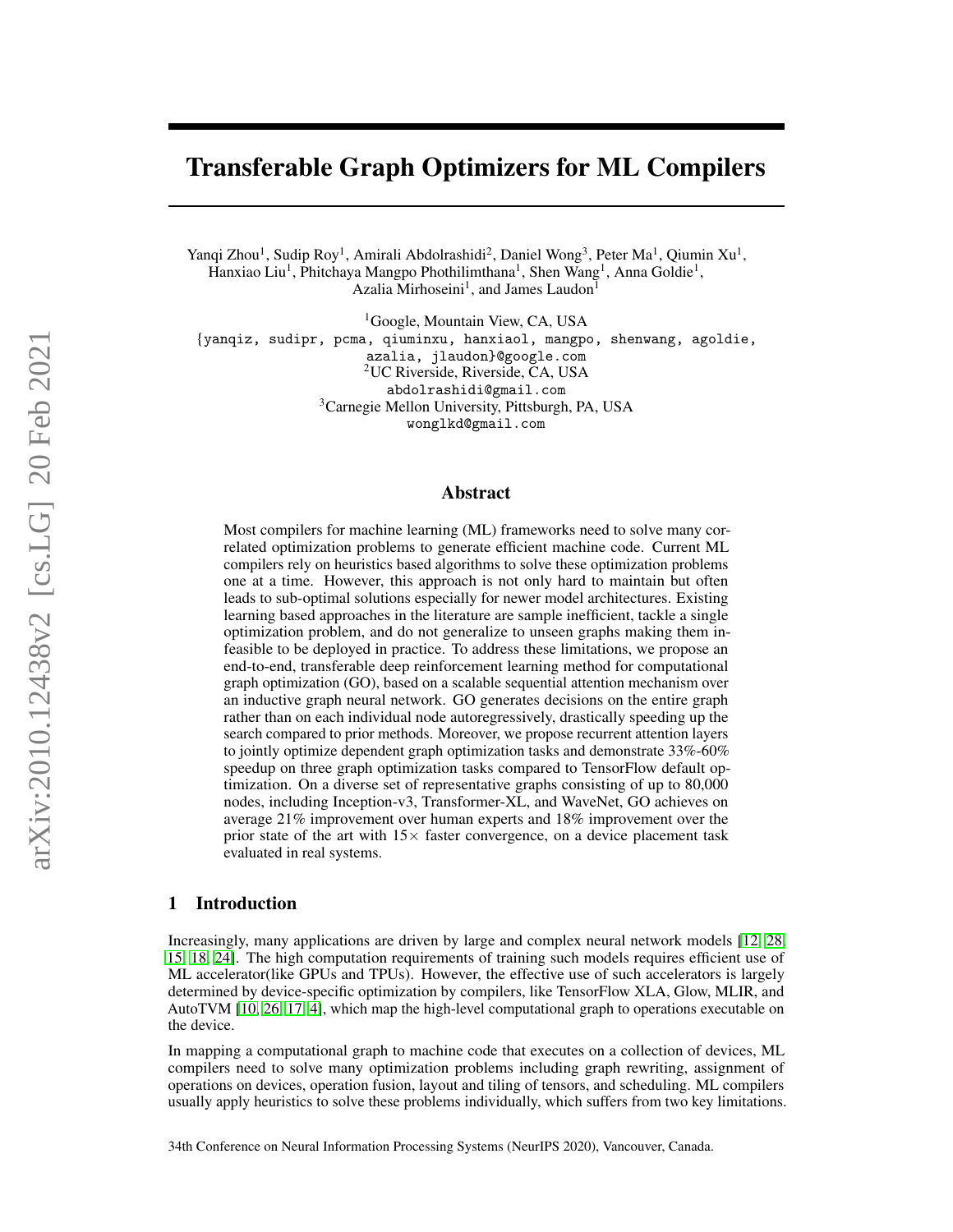# Transferable Graph Optimizers for ML Compilers

Yanqi Zhou<sup>1</sup>, Sudip Roy<sup>1</sup>, Amirali Abdolrashidi<sup>2</sup>, Daniel Wong<sup>3</sup>, Peter Ma<sup>1</sup>, Qiumin Xu<sup>1</sup>, Hanxiao Liu<sup>1</sup>, Phitchaya Mangpo Phothilimthana<sup>1</sup>, Shen Wang<sup>1</sup>, Anna Goldie<sup>1</sup>, Azalia Mirhoseini<sup>1</sup>, and James Laudon<sup>1</sup>

<sup>1</sup>Google, Mountain View, CA, USA {yanqiz, sudipr, pcma, qiuminxu, hanxiaol, mangpo, shenwang, agoldie, azalia, jlaudon}@google.com <sup>2</sup>UC Riverside, Riverside, CA, USA abdolrashidi@gmail.com <sup>3</sup>Carnegie Mellon University, Pittsburgh, PA, USA wonglkd@gmail.com

#### Abstract

Most compilers for machine learning (ML) frameworks need to solve many correlated optimization problems to generate efficient machine code. Current ML compilers rely on heuristics based algorithms to solve these optimization problems one at a time. However, this approach is not only hard to maintain but often leads to sub-optimal solutions especially for newer model architectures. Existing learning based approaches in the literature are sample inefficient, tackle a single optimization problem, and do not generalize to unseen graphs making them infeasible to be deployed in practice. To address these limitations, we propose an end-to-end, transferable deep reinforcement learning method for computational graph optimization (GO), based on a scalable sequential attention mechanism over an inductive graph neural network. GO generates decisions on the entire graph rather than on each individual node autoregressively, drastically speeding up the search compared to prior methods. Moreover, we propose recurrent attention layers to jointly optimize dependent graph optimization tasks and demonstrate 33%-60% speedup on three graph optimization tasks compared to TensorFlow default optimization. On a diverse set of representative graphs consisting of up to 80,000 nodes, including Inception-v3, Transformer-XL, and WaveNet, GO achieves on average 21% improvement over human experts and 18% improvement over the prior state of the art with  $15\times$  faster convergence, on a device placement task evaluated in real systems.

## 1 Introduction

Increasingly, many applications are driven by large and complex neural network models [\[12,](#page-10-0) [28,](#page-11-0) [15,](#page-10-1) [18,](#page-10-2) [24\]](#page-10-3). The high computation requirements of training such models requires efficient use of ML accelerator(like GPUs and TPUs). However, the effective use of such accelerators is largely determined by device-specific optimization by compilers, like TensorFlow XLA, Glow, MLIR, and AutoTVM [\[10,](#page-9-0) [26,](#page-10-4) [17,](#page-10-5) [4\]](#page-9-1), which map the high-level computational graph to operations executable on the device.

In mapping a computational graph to machine code that executes on a collection of devices, ML compilers need to solve many optimization problems including graph rewriting, assignment of operations on devices, operation fusion, layout and tiling of tensors, and scheduling. ML compilers usually apply heuristics to solve these problems individually, which suffers from two key limitations.

34th Conference on Neural Information Processing Systems (NeurIPS 2020), Vancouver, Canada.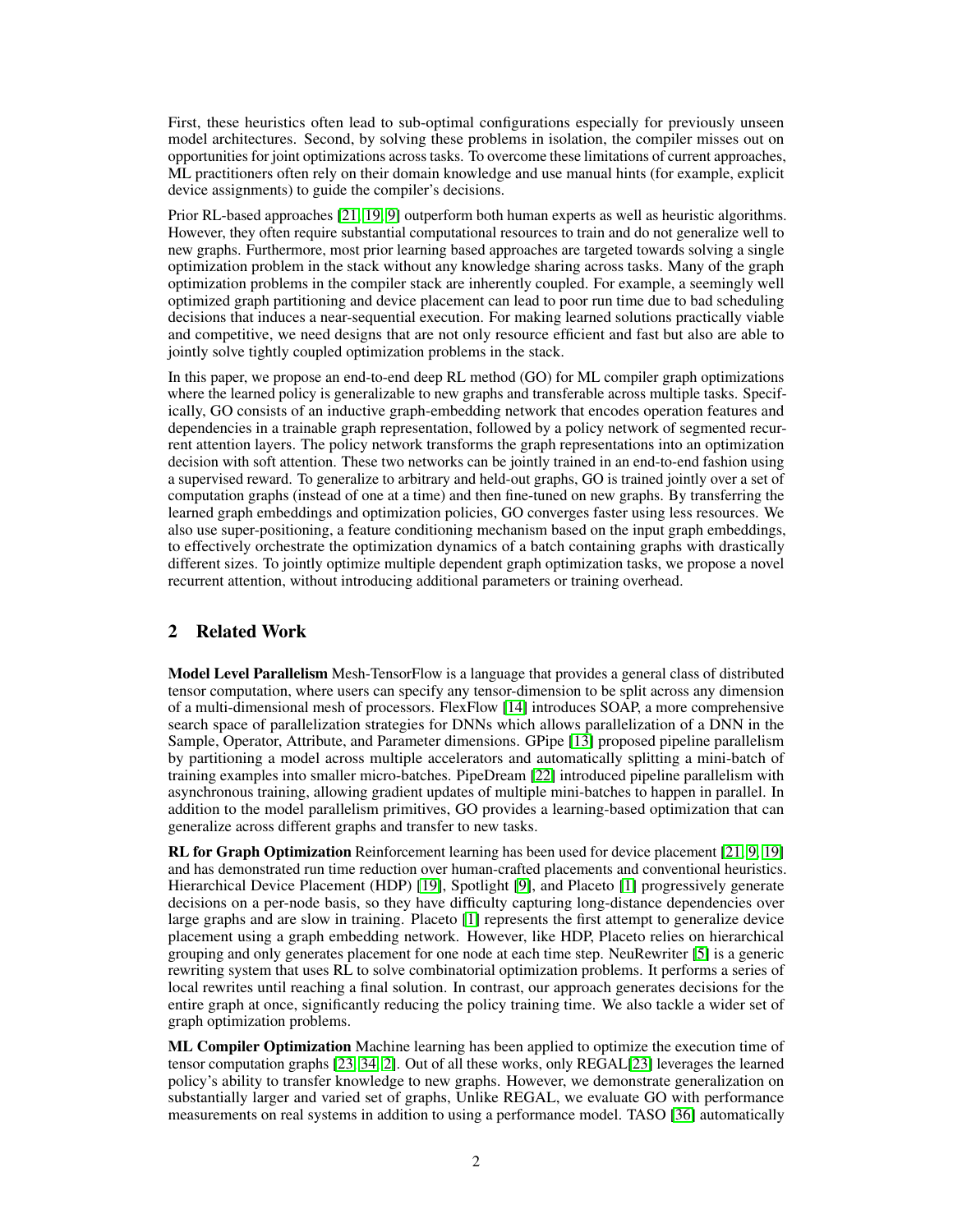First, these heuristics often lead to sub-optimal configurations especially for previously unseen model architectures. Second, by solving these problems in isolation, the compiler misses out on opportunities for joint optimizations across tasks. To overcome these limitations of current approaches, ML practitioners often rely on their domain knowledge and use manual hints (for example, explicit device assignments) to guide the compiler's decisions.

Prior RL-based approaches [\[21,](#page-10-6) [19,](#page-10-7) [9\]](#page-9-2) outperform both human experts as well as heuristic algorithms. However, they often require substantial computational resources to train and do not generalize well to new graphs. Furthermore, most prior learning based approaches are targeted towards solving a single optimization problem in the stack without any knowledge sharing across tasks. Many of the graph optimization problems in the compiler stack are inherently coupled. For example, a seemingly well optimized graph partitioning and device placement can lead to poor run time due to bad scheduling decisions that induces a near-sequential execution. For making learned solutions practically viable and competitive, we need designs that are not only resource efficient and fast but also are able to jointly solve tightly coupled optimization problems in the stack.

In this paper, we propose an end-to-end deep RL method (GO) for ML compiler graph optimizations where the learned policy is generalizable to new graphs and transferable across multiple tasks. Specifically, GO consists of an inductive graph-embedding network that encodes operation features and dependencies in a trainable graph representation, followed by a policy network of segmented recurrent attention layers. The policy network transforms the graph representations into an optimization decision with soft attention. These two networks can be jointly trained in an end-to-end fashion using a supervised reward. To generalize to arbitrary and held-out graphs, GO is trained jointly over a set of computation graphs (instead of one at a time) and then fine-tuned on new graphs. By transferring the learned graph embeddings and optimization policies, GO converges faster using less resources. We also use super-positioning, a feature conditioning mechanism based on the input graph embeddings, to effectively orchestrate the optimization dynamics of a batch containing graphs with drastically different sizes. To jointly optimize multiple dependent graph optimization tasks, we propose a novel recurrent attention, without introducing additional parameters or training overhead.

## 2 Related Work

Model Level Parallelism Mesh-TensorFlow is a language that provides a general class of distributed tensor computation, where users can specify any tensor-dimension to be split across any dimension of a multi-dimensional mesh of processors. FlexFlow [\[14\]](#page-10-8) introduces SOAP, a more comprehensive search space of parallelization strategies for DNNs which allows parallelization of a DNN in the Sample, Operator, Attribute, and Parameter dimensions. GPipe [\[13\]](#page-10-9) proposed pipeline parallelism by partitioning a model across multiple accelerators and automatically splitting a mini-batch of training examples into smaller micro-batches. PipeDream [\[22\]](#page-10-10) introduced pipeline parallelism with asynchronous training, allowing gradient updates of multiple mini-batches to happen in parallel. In addition to the model parallelism primitives, GO provides a learning-based optimization that can generalize across different graphs and transfer to new tasks.

RL for Graph Optimization Reinforcement learning has been used for device placement [\[21,](#page-10-6) [9,](#page-9-2) [19\]](#page-10-7) and has demonstrated run time reduction over human-crafted placements and conventional heuristics. Hierarchical Device Placement (HDP) [\[19\]](#page-10-7), Spotlight [\[9\]](#page-9-2), and Placeto [\[1\]](#page-9-3) progressively generate decisions on a per-node basis, so they have difficulty capturing long-distance dependencies over large graphs and are slow in training. Placeto [\[1\]](#page-9-3) represents the first attempt to generalize device placement using a graph embedding network. However, like HDP, Placeto relies on hierarchical grouping and only generates placement for one node at each time step. NeuRewriter [\[5\]](#page-9-4) is a generic rewriting system that uses RL to solve combinatorial optimization problems. It performs a series of local rewrites until reaching a final solution. In contrast, our approach generates decisions for the entire graph at once, significantly reducing the policy training time. We also tackle a wider set of graph optimization problems.

ML Compiler Optimization Machine learning has been applied to optimize the execution time of tensor computation graphs [\[23,](#page-10-11) [34,](#page-11-1) [2\]](#page-9-5). Out of all these works, only REGAL[\[23\]](#page-10-11) leverages the learned policy's ability to transfer knowledge to new graphs. However, we demonstrate generalization on substantially larger and varied set of graphs, Unlike REGAL, we evaluate GO with performance measurements on real systems in addition to using a performance model. TASO [\[36\]](#page-11-2) automatically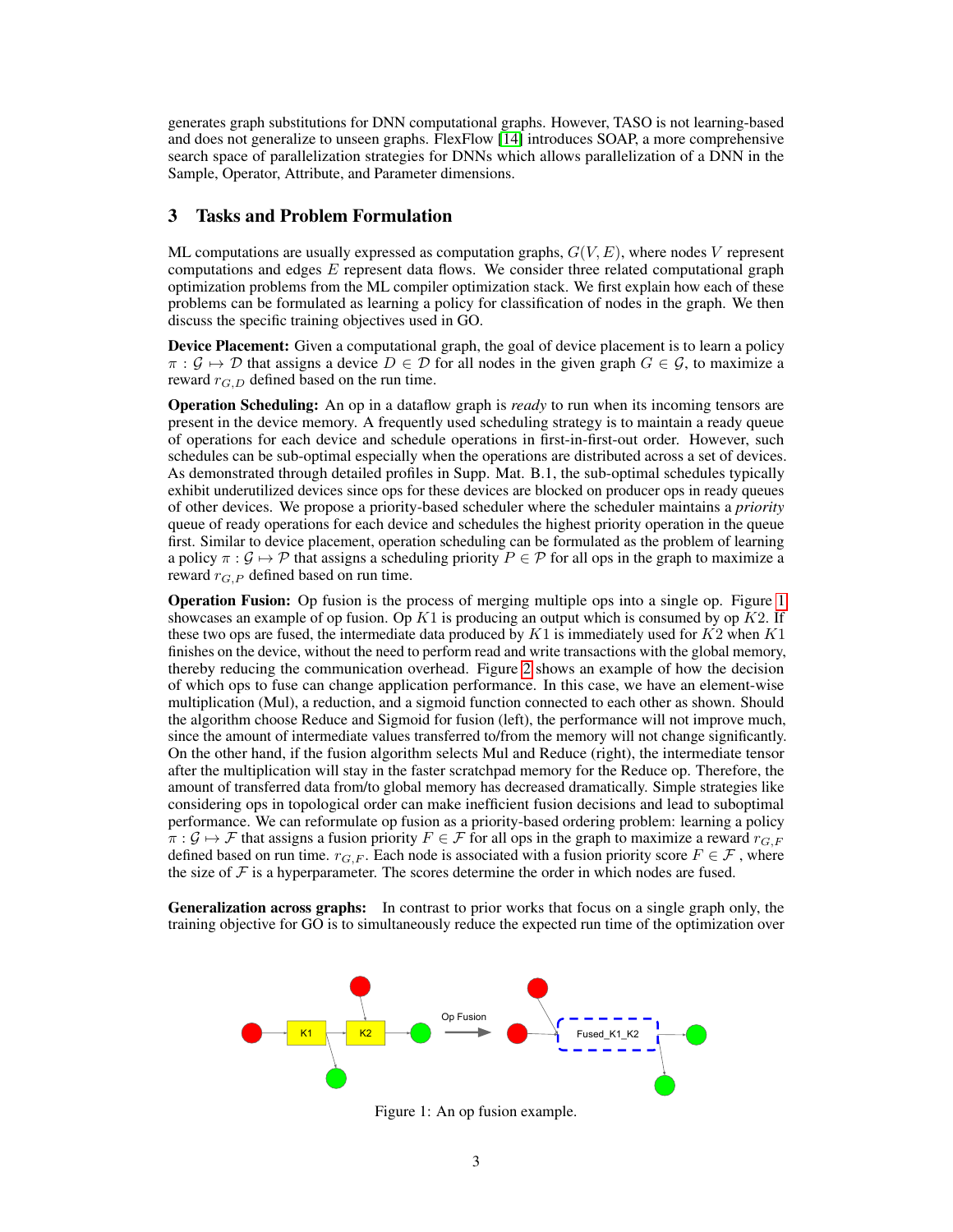generates graph substitutions for DNN computational graphs. However, TASO is not learning-based and does not generalize to unseen graphs. FlexFlow [\[14\]](#page-10-8) introduces SOAP, a more comprehensive search space of parallelization strategies for DNNs which allows parallelization of a DNN in the Sample, Operator, Attribute, and Parameter dimensions.

## <span id="page-2-1"></span>3 Tasks and Problem Formulation

ML computations are usually expressed as computation graphs,  $G(V, E)$ , where nodes V represent computations and edges E represent data flows. We consider three related computational graph optimization problems from the ML compiler optimization stack. We first explain how each of these problems can be formulated as learning a policy for classification of nodes in the graph. We then discuss the specific training objectives used in GO.

Device Placement: Given a computational graph, the goal of device placement is to learn a policy  $\pi : \mathcal{G} \mapsto \mathcal{D}$  that assigns a device  $D \in \mathcal{D}$  for all nodes in the given graph  $G \in \mathcal{G}$ , to maximize a reward  $r_{G,D}$  defined based on the run time.

Operation Scheduling: An op in a dataflow graph is *ready* to run when its incoming tensors are present in the device memory. A frequently used scheduling strategy is to maintain a ready queue of operations for each device and schedule operations in first-in-first-out order. However, such schedules can be sub-optimal especially when the operations are distributed across a set of devices. As demonstrated through detailed profiles in Supp. Mat. B.1, the sub-optimal schedules typically exhibit underutilized devices since ops for these devices are blocked on producer ops in ready queues of other devices. We propose a priority-based scheduler where the scheduler maintains a *priority* queue of ready operations for each device and schedules the highest priority operation in the queue first. Similar to device placement, operation scheduling can be formulated as the problem of learning a policy  $\pi : \mathcal{G} \mapsto \mathcal{P}$  that assigns a scheduling priority  $P \in \mathcal{P}$  for all ops in the graph to maximize a reward  $r_G$   $_P$  defined based on run time.

Operation Fusion: Op fusion is the process of merging multiple ops into a single op. Figure [1](#page-2-0) showcases an example of op fusion. Op  $K1$  is producing an output which is consumed by op  $K2$ . If these two ops are fused, the intermediate data produced by  $K1$  is immediately used for  $K2$  when  $K1$ finishes on the device, without the need to perform read and write transactions with the global memory, thereby reducing the communication overhead. Figure [2](#page-3-0) shows an example of how the decision of which ops to fuse can change application performance. In this case, we have an element-wise multiplication (Mul), a reduction, and a sigmoid function connected to each other as shown. Should the algorithm choose Reduce and Sigmoid for fusion (left), the performance will not improve much, since the amount of intermediate values transferred to/from the memory will not change significantly. On the other hand, if the fusion algorithm selects Mul and Reduce (right), the intermediate tensor after the multiplication will stay in the faster scratchpad memory for the Reduce op. Therefore, the amount of transferred data from/to global memory has decreased dramatically. Simple strategies like considering ops in topological order can make inefficient fusion decisions and lead to suboptimal performance. We can reformulate op fusion as a priority-based ordering problem: learning a policy  $\pi : \mathcal{G} \mapsto \mathcal{F}$  that assigns a fusion priority  $F \in \mathcal{F}$  for all ops in the graph to maximize a reward  $r_{G,F}$ defined based on run time.  $r_{G,F}$ . Each node is associated with a fusion priority score  $F \in \mathcal{F}$ , where the size of  $F$  is a hyperparameter. The scores determine the order in which nodes are fused.

Generalization across graphs: In contrast to prior works that focus on a single graph only, the training objective for GO is to simultaneously reduce the expected run time of the optimization over



<span id="page-2-0"></span>Figure 1: An op fusion example.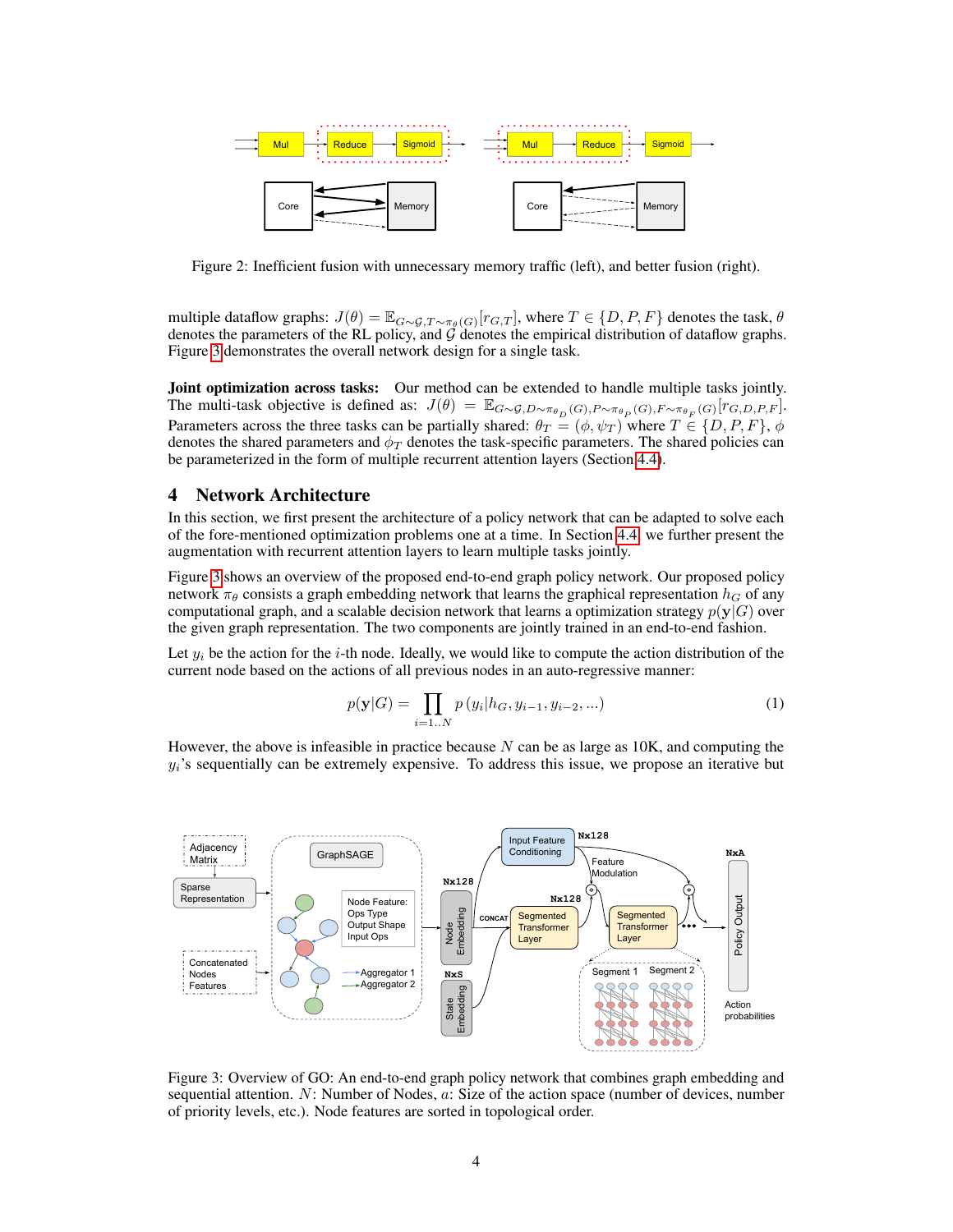

<span id="page-3-0"></span>Figure 2: Inefficient fusion with unnecessary memory traffic (left), and better fusion (right).

multiple dataflow graphs:  $J(\theta) = \mathbb{E}_{G \sim \mathcal{G}, T \sim \pi_{\theta}(G)}[r_{G,T}]$ , where  $T \in \{D, P, F\}$  denotes the task,  $\theta$ denotes the parameters of the RL policy, and  $G$  denotes the empirical distribution of dataflow graphs. Figure [3](#page-3-1) demonstrates the overall network design for a single task.

Joint optimization across tasks: Our method can be extended to handle multiple tasks jointly. The multi-task objective is defined as:  $J(\theta) = \mathbb{E}_{G \sim \mathcal{G}, D \sim \pi_{\theta_D}(G), P \sim \pi_{\theta_P}(G), F \sim \pi_{\theta_F}(G)}[r_{G,D,P,F}].$ Parameters across the three tasks can be partially shared:  $\theta_T = (\phi, \psi_T)$  where  $T \in \{D, P, F\}, \phi$ denotes the shared parameters and  $\phi_T$  denotes the task-specific parameters. The shared policies can be parameterized in the form of multiple recurrent attention layers (Section [4.4\)](#page-5-0).

## 4 Network Architecture

In this section, we first present the architecture of a policy network that can be adapted to solve each of the fore-mentioned optimization problems one at a time. In Section [4.4,](#page-5-0) we further present the augmentation with recurrent attention layers to learn multiple tasks jointly.

Figure [3](#page-3-1) shows an overview of the proposed end-to-end graph policy network. Our proposed policy network  $\pi_{\theta}$  consists a graph embedding network that learns the graphical representation  $h_G$  of any computational graph, and a scalable decision network that learns a optimization strategy  $p(y|G)$  over the given graph representation. The two components are jointly trained in an end-to-end fashion.

Let  $y_i$  be the action for the *i*-th node. Ideally, we would like to compute the action distribution of the current node based on the actions of all previous nodes in an auto-regressive manner:

<span id="page-3-2"></span>
$$
p(\mathbf{y}|G) = \prod_{i=1..N} p(y_i|h_G, y_{i-1}, y_{i-2}, ...)
$$
 (1)

However, the above is infeasible in practice because  $N$  can be as large as  $10K$ , and computing the  $y_i$ 's sequentially can be extremely expensive. To address this issue, we propose an iterative but



<span id="page-3-1"></span>Figure 3: Overview of GO: An end-to-end graph policy network that combines graph embedding and sequential attention. N: Number of Nodes, a: Size of the action space (number of devices, number of priority levels, etc.). Node features are sorted in topological order.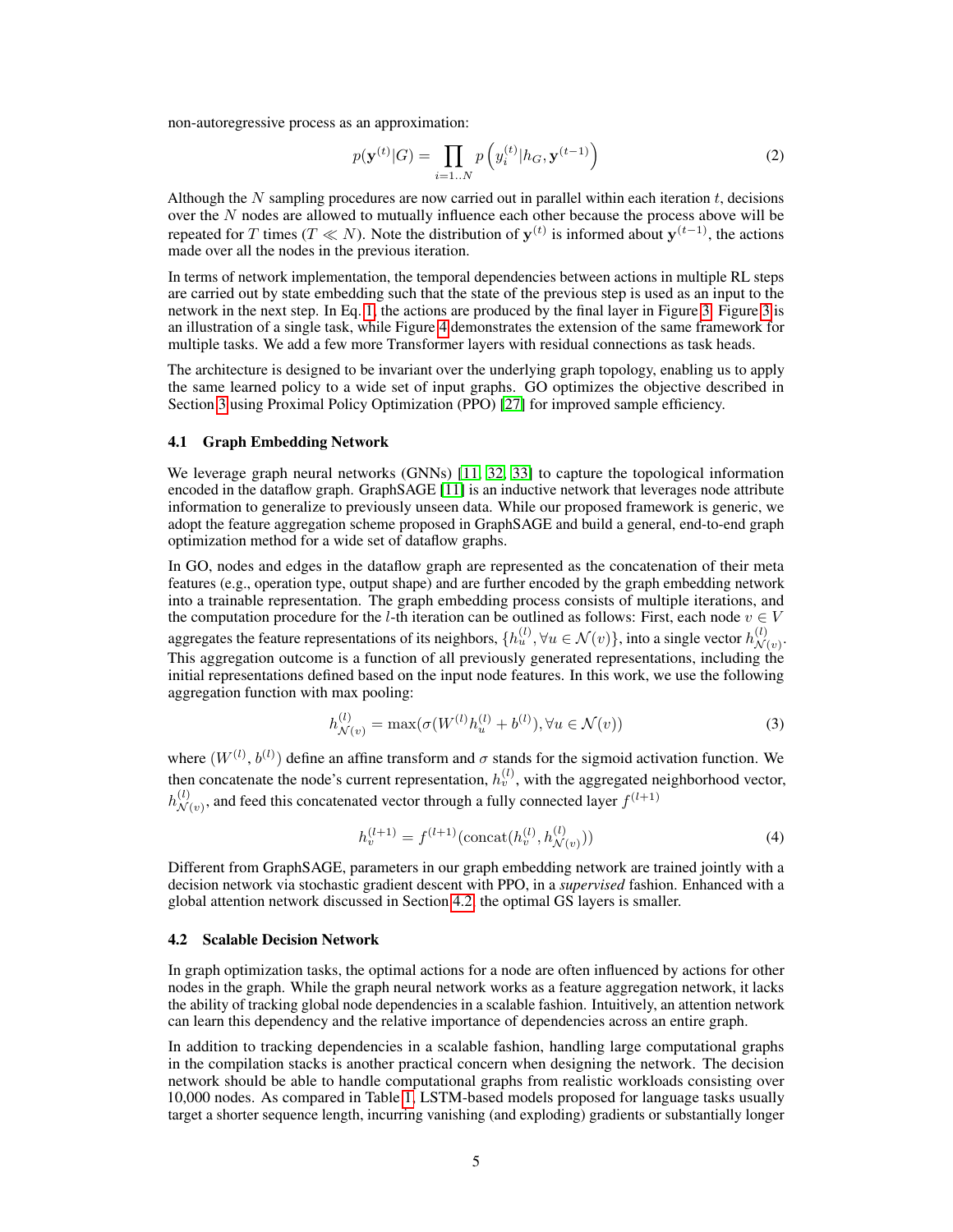non-autoregressive process as an approximation:

$$
p(\mathbf{y}^{(t)}|G) = \prod_{i=1..N} p\left(y_i^{(t)}|h_G, \mathbf{y}^{(t-1)}\right)
$$
 (2)

Although the  $N$  sampling procedures are now carried out in parallel within each iteration  $t$ , decisions over the N nodes are allowed to mutually influence each other because the process above will be repeated for T times (T  $\ll N$ ). Note the distribution of  $y^{(t)}$  is informed about  $y^{(t-1)}$ , the actions made over all the nodes in the previous iteration.

In terms of network implementation, the temporal dependencies between actions in multiple RL steps are carried out by state embedding such that the state of the previous step is used as an input to the network in the next step. In Eq. [1,](#page-3-2) the actions are produced by the final layer in Figure [3.](#page-3-1) Figure [3](#page-3-1) is an illustration of a single task, while Figure [4](#page-6-0) demonstrates the extension of the same framework for multiple tasks. We add a few more Transformer layers with residual connections as task heads.

The architecture is designed to be invariant over the underlying graph topology, enabling us to apply the same learned policy to a wide set of input graphs. GO optimizes the objective described in Section [3](#page-2-1) using Proximal Policy Optimization (PPO) [\[27\]](#page-10-12) for improved sample efficiency.

## 4.1 Graph Embedding Network

We leverage graph neural networks (GNNs) [\[11,](#page-10-13) [32,](#page-11-3) [33\]](#page-11-4) to capture the topological information encoded in the dataflow graph. GraphSAGE [\[11\]](#page-10-13) is an inductive network that leverages node attribute information to generalize to previously unseen data. While our proposed framework is generic, we adopt the feature aggregation scheme proposed in GraphSAGE and build a general, end-to-end graph optimization method for a wide set of dataflow graphs.

In GO, nodes and edges in the dataflow graph are represented as the concatenation of their meta features (e.g., operation type, output shape) and are further encoded by the graph embedding network into a trainable representation. The graph embedding process consists of multiple iterations, and the computation procedure for the l-th iteration can be outlined as follows: First, each node  $v \in V$ aggregates the feature representations of its neighbors,  $\{h_u^{(l)}, \forall u \in \mathcal{N}(v)\}$ , into a single vector  $h_{\mathcal{N}(l)}^{(l)}$  $\overset{(t)}{\mathcal{N}(v)}$ . This aggregation outcome is a function of all previously generated representations, including the

initial representations defined based on the input node features. In this work, we use the following aggregation function with max pooling:

$$
h_{\mathcal{N}(v)}^{(l)} = \max(\sigma(W^{(l)}h_u^{(l)} + b^{(l)}), \forall u \in \mathcal{N}(v))
$$
\n(3)

where  $(W^{(l)}, b^{(l)})$  define an affine transform and  $\sigma$  stands for the sigmoid activation function. We then concatenate the node's current representation,  $h_v^{(l)}$ , with the aggregated neighborhood vector,  $h_{\mathcal{N}}^{(l)}$  $\mathcal{N}(v)$ , and feed this concatenated vector through a fully connected layer  $f^{(l+1)}$ 

$$
h_v^{(l+1)} = f^{(l+1)}(\text{concat}(h_v^{(l)}, h_{\mathcal{N}(v)}^{(l)}))
$$
\n(4)

Different from GraphSAGE, parameters in our graph embedding network are trained jointly with a decision network via stochastic gradient descent with PPO, in a *supervised* fashion. Enhanced with a global attention network discussed in Section [4.2,](#page-4-0) the optimal GS layers is smaller.

#### <span id="page-4-0"></span>4.2 Scalable Decision Network

In graph optimization tasks, the optimal actions for a node are often influenced by actions for other nodes in the graph. While the graph neural network works as a feature aggregation network, it lacks the ability of tracking global node dependencies in a scalable fashion. Intuitively, an attention network can learn this dependency and the relative importance of dependencies across an entire graph.

In addition to tracking dependencies in a scalable fashion, handling large computational graphs in the compilation stacks is another practical concern when designing the network. The decision network should be able to handle computational graphs from realistic workloads consisting over 10,000 nodes. As compared in Table [1,](#page-5-1) LSTM-based models proposed for language tasks usually target a shorter sequence length, incurring vanishing (and exploding) gradients or substantially longer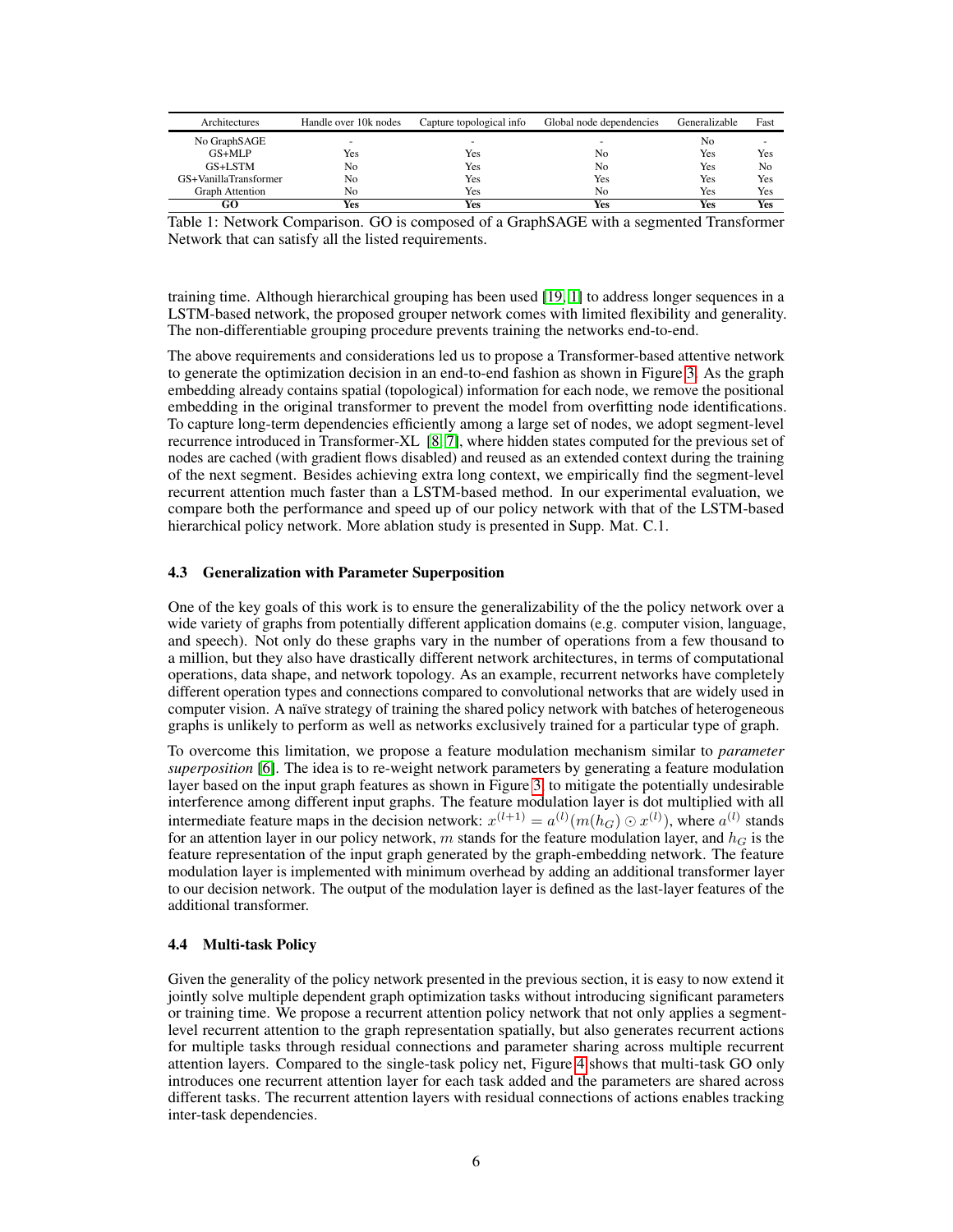| Architectures         | Handle over 10k nodes | Capture topological info | Global node dependencies | Generalizable | Fast |
|-----------------------|-----------------------|--------------------------|--------------------------|---------------|------|
| No GraphSAGE          | -                     | -                        | $\overline{\phantom{a}}$ | No            | -    |
| $GS+MLP$              | Yes                   | Yes                      | Nο                       | Yes           | Yes  |
| GS+LSTM               | No                    | Yes                      | No                       | Yes           | No   |
| GS+VanillaTransformer | No                    | Yes                      | Yes                      | Yes           | Yes  |
| Graph Attention       | No                    | Yes                      | N <sub>0</sub>           | Yes           | Yes  |
| GO                    | Yes                   | Yes                      | Yes                      | Yes           | Yes  |

<span id="page-5-1"></span>Table 1: Network Comparison. GO is composed of a GraphSAGE with a segmented Transformer Network that can satisfy all the listed requirements.

training time. Although hierarchical grouping has been used [\[19,](#page-10-7) [1\]](#page-9-3) to address longer sequences in a LSTM-based network, the proposed grouper network comes with limited flexibility and generality. The non-differentiable grouping procedure prevents training the networks end-to-end.

The above requirements and considerations led us to propose a Transformer-based attentive network to generate the optimization decision in an end-to-end fashion as shown in Figure [3.](#page-3-1) As the graph embedding already contains spatial (topological) information for each node, we remove the positional embedding in the original transformer to prevent the model from overfitting node identifications. To capture long-term dependencies efficiently among a large set of nodes, we adopt segment-level recurrence introduced in Transformer-XL [\[8,](#page-9-6) [7\]](#page-9-7), where hidden states computed for the previous set of nodes are cached (with gradient flows disabled) and reused as an extended context during the training of the next segment. Besides achieving extra long context, we empirically find the segment-level recurrent attention much faster than a LSTM-based method. In our experimental evaluation, we compare both the performance and speed up of our policy network with that of the LSTM-based hierarchical policy network. More ablation study is presented in Supp. Mat. C.1.

#### 4.3 Generalization with Parameter Superposition

One of the key goals of this work is to ensure the generalizability of the the policy network over a wide variety of graphs from potentially different application domains (e.g. computer vision, language, and speech). Not only do these graphs vary in the number of operations from a few thousand to a million, but they also have drastically different network architectures, in terms of computational operations, data shape, and network topology. As an example, recurrent networks have completely different operation types and connections compared to convolutional networks that are widely used in computer vision. A naïve strategy of training the shared policy network with batches of heterogeneous graphs is unlikely to perform as well as networks exclusively trained for a particular type of graph.

To overcome this limitation, we propose a feature modulation mechanism similar to *parameter superposition* [\[6\]](#page-9-8). The idea is to re-weight network parameters by generating a feature modulation layer based on the input graph features as shown in Figure [3,](#page-3-1) to mitigate the potentially undesirable interference among different input graphs. The feature modulation layer is dot multiplied with all intermediate feature maps in the decision network:  $x^{(l+1)} = a^{(l)}(m(h_G) \odot x^{(l)})$ , where  $a^{(l)}$  stands for an attention layer in our policy network,  $m$  stands for the feature modulation layer, and  $h_G$  is the feature representation of the input graph generated by the graph-embedding network. The feature modulation layer is implemented with minimum overhead by adding an additional transformer layer to our decision network. The output of the modulation layer is defined as the last-layer features of the additional transformer.

#### <span id="page-5-0"></span>4.4 Multi-task Policy

Given the generality of the policy network presented in the previous section, it is easy to now extend it jointly solve multiple dependent graph optimization tasks without introducing significant parameters or training time. We propose a recurrent attention policy network that not only applies a segmentlevel recurrent attention to the graph representation spatially, but also generates recurrent actions for multiple tasks through residual connections and parameter sharing across multiple recurrent attention layers. Compared to the single-task policy net, Figure [4](#page-6-0) shows that multi-task GO only introduces one recurrent attention layer for each task added and the parameters are shared across different tasks. The recurrent attention layers with residual connections of actions enables tracking inter-task dependencies.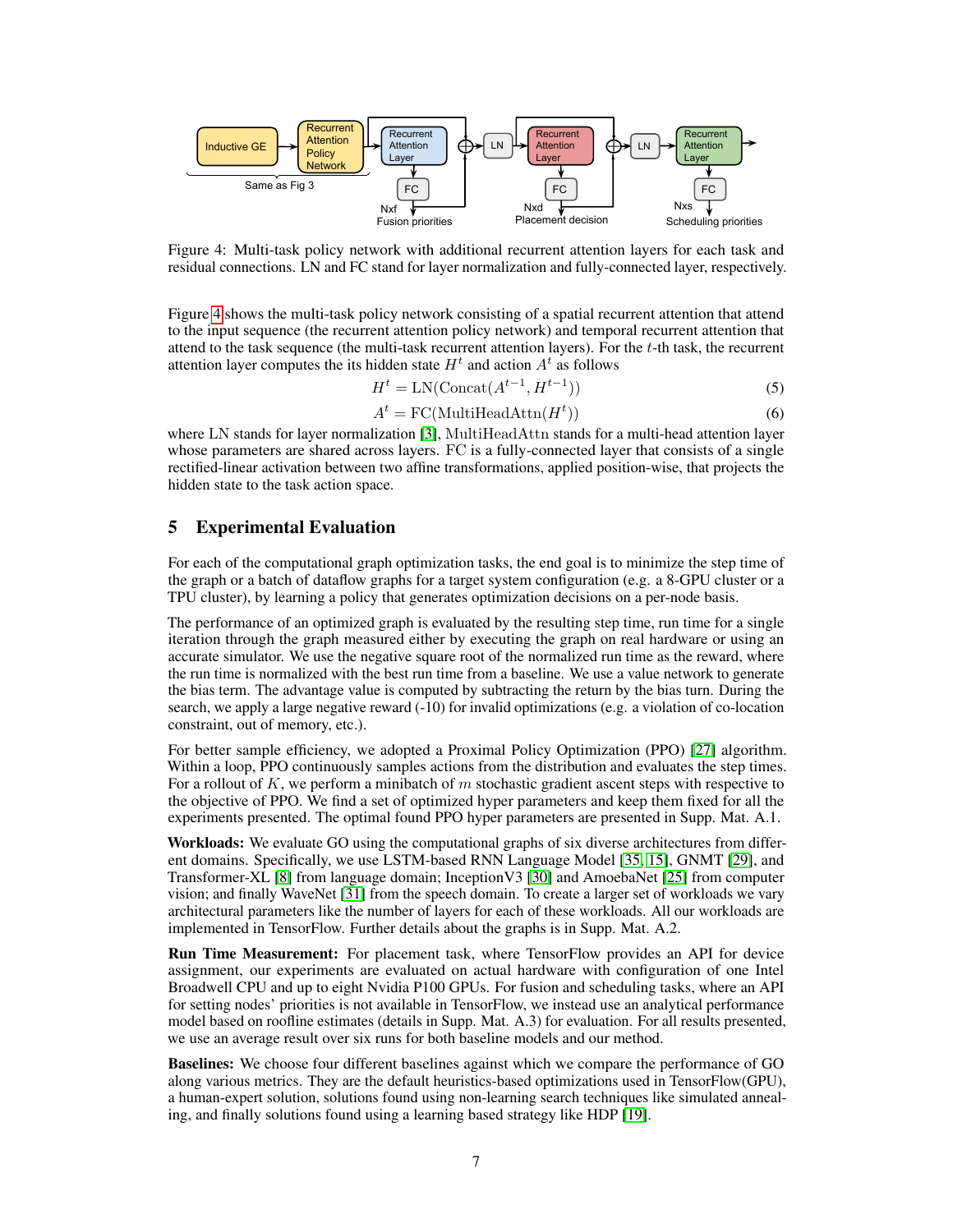

<span id="page-6-0"></span>Figure 4: Multi-task policy network with additional recurrent attention layers for each task and residual connections. LN and FC stand for layer normalization and fully-connected layer, respectively.

Figure [4](#page-6-0) shows the multi-task policy network consisting of a spatial recurrent attention that attend to the input sequence (the recurrent attention policy network) and temporal recurrent attention that attend to the task sequence (the multi-task recurrent attention layers). For the t-th task, the recurrent attention layer computes the its hidden state  $H<sup>t</sup>$  and action  $A<sup>t</sup>$  as follows

$$
Ht = LN(Concat(At-1, Ht-1))
$$
\n(5)

$$
At = FC(MultiHeadAttn(Ht))
$$
\n(6)

where LN stands for layer normalization [\[3\]](#page-9-9), MultiHeadAttn stands for a multi-head attention layer whose parameters are shared across layers. FC is a fully-connected layer that consists of a single rectified-linear activation between two affine transformations, applied position-wise, that projects the hidden state to the task action space.

## 5 Experimental Evaluation

For each of the computational graph optimization tasks, the end goal is to minimize the step time of the graph or a batch of dataflow graphs for a target system configuration (e.g. a 8-GPU cluster or a TPU cluster), by learning a policy that generates optimization decisions on a per-node basis.

The performance of an optimized graph is evaluated by the resulting step time, run time for a single iteration through the graph measured either by executing the graph on real hardware or using an accurate simulator. We use the negative square root of the normalized run time as the reward, where the run time is normalized with the best run time from a baseline. We use a value network to generate the bias term. The advantage value is computed by subtracting the return by the bias turn. During the search, we apply a large negative reward (-10) for invalid optimizations (e.g. a violation of co-location constraint, out of memory, etc.).

For better sample efficiency, we adopted a Proximal Policy Optimization (PPO) [\[27\]](#page-10-12) algorithm. Within a loop, PPO continuously samples actions from the distribution and evaluates the step times. For a rollout of K, we perform a minibatch of m stochastic gradient ascent steps with respective to the objective of PPO. We find a set of optimized hyper parameters and keep them fixed for all the experiments presented. The optimal found PPO hyper parameters are presented in Supp. Mat. A.1.

Workloads: We evaluate GO using the computational graphs of six diverse architectures from different domains. Specifically, we use LSTM-based RNN Language Model [\[35,](#page-11-5) [15\]](#page-10-1), GNMT [\[29\]](#page-11-6), and Transformer-XL [\[8\]](#page-9-6) from language domain; InceptionV3 [\[30\]](#page-11-7) and AmoebaNet [\[25\]](#page-10-14) from computer vision; and finally WaveNet [\[31\]](#page-11-8) from the speech domain. To create a larger set of workloads we vary architectural parameters like the number of layers for each of these workloads. All our workloads are implemented in TensorFlow. Further details about the graphs is in Supp. Mat. A.2.

Run Time Measurement: For placement task, where TensorFlow provides an API for device assignment, our experiments are evaluated on actual hardware with configuration of one Intel Broadwell CPU and up to eight Nvidia P100 GPUs. For fusion and scheduling tasks, where an API for setting nodes' priorities is not available in TensorFlow, we instead use an analytical performance model based on roofline estimates (details in Supp. Mat. A.3) for evaluation. For all results presented, we use an average result over six runs for both baseline models and our method.

Baselines: We choose four different baselines against which we compare the performance of GO along various metrics. They are the default heuristics-based optimizations used in TensorFlow(GPU), a human-expert solution, solutions found using non-learning search techniques like simulated annealing, and finally solutions found using a learning based strategy like HDP [\[19\]](#page-10-7).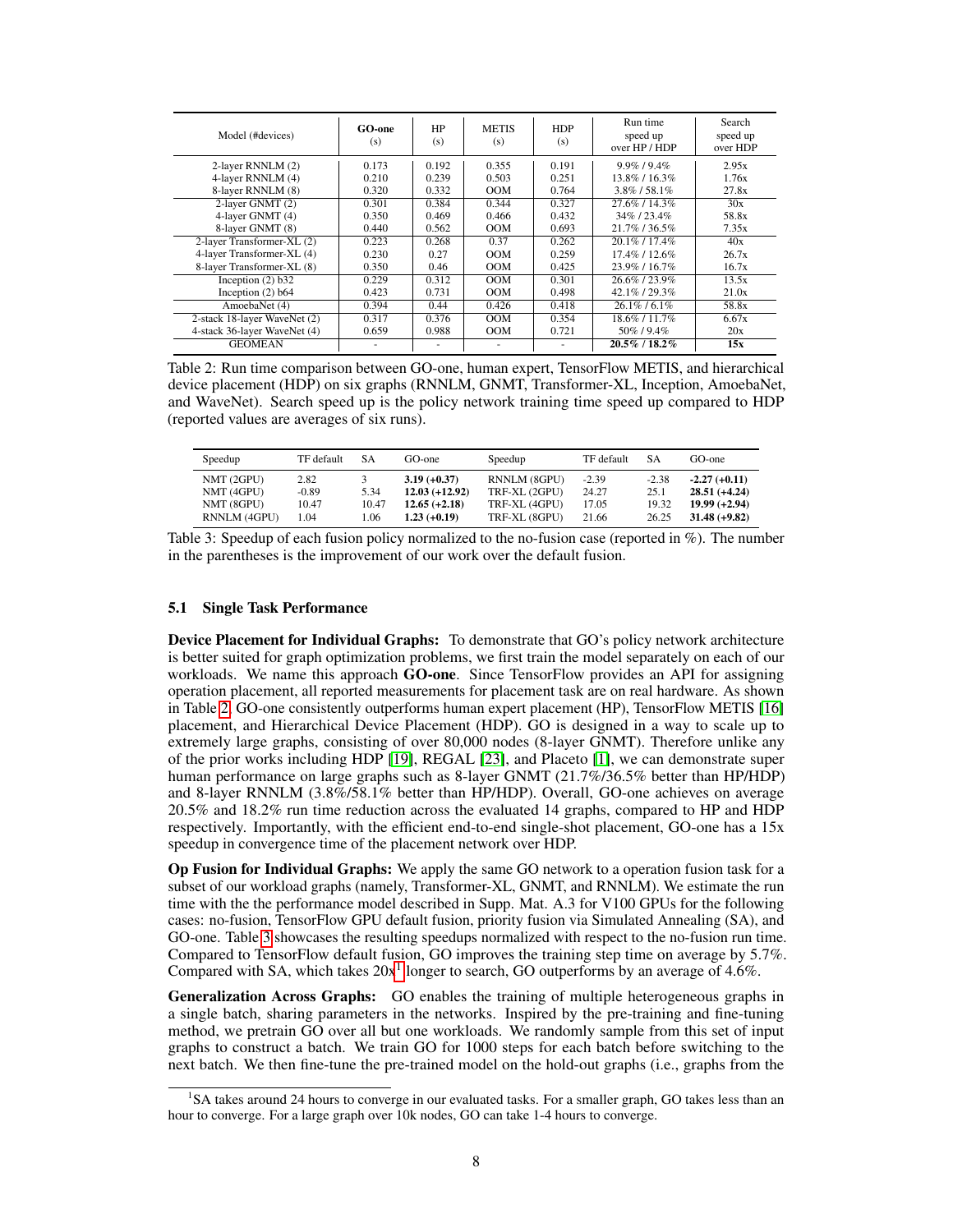| Model (#devices)             | <b>GO-one</b><br>(s) | HP<br>(s) | <b>METIS</b><br>(s) | <b>HDP</b><br>(s) | Run time<br>speed up<br>over HP / HDP | Search<br>speed up<br>over HDP |
|------------------------------|----------------------|-----------|---------------------|-------------------|---------------------------------------|--------------------------------|
| 2-layer RNNLM (2)            | 0.173                | 0.192     | 0.355               | 0.191             | $9.9\%$ / $9.4\%$                     | 2.95x                          |
| 4-layer RNNLM (4)            | 0.210                | 0.239     | 0.503               | 0.251             | 13.8%/16.3%                           | 1.76x                          |
| 8-layer RNNLM (8)            | 0.320                | 0.332     | <b>OOM</b>          | 0.764             | $3.8\%$ / 58.1%                       | 27.8x                          |
| 2-layer GNMT (2)             | 0.301                | 0.384     | 0.344               | 0.327             | 27.6% / 14.3%                         | 30x                            |
| 4-laver GNMT (4)             | 0.350                | 0.469     | 0.466               | 0.432             | 34%/23.4%                             | 58.8x                          |
| 8-layer GNMT (8)             | 0.440                | 0.562     | OM                  | 0.693             | 21.7%/36.5%                           | 7.35x                          |
| 2-layer Transformer-XL (2)   | 0.223                | 0.268     | 0.37                | 0.262             | $20.1\%$ / 17.4%                      | 40x                            |
| 4-layer Transformer-XL (4)   | 0.230                | 0.27      | OM                  | 0.259             | $17.4\%$ / $12.6\%$                   | 26.7x                          |
| 8-layer Transformer-XL (8)   | 0.350                | 0.46      | <b>OOM</b>          | 0.425             | 23.9%/16.7%                           | 16.7x                          |
| Inception $(2)$ b32          | 0.229                | 0.312     | OOM                 | 0.301             | 26.6%/23.9%                           | 13.5x                          |
| Inception $(2)$ b64          | 0.423                | 0.731     | <b>OOM</b>          | 0.498             | 42.1%/29.3%                           | 21.0x                          |
| AmoebaNet (4)                | 0.394                | 0.44      | 0.426               | 0.418             | $26.1\%$ / 6.1%                       | 58.8x                          |
| 2-stack 18-layer WaveNet (2) | 0.317                | 0.376     | OOM                 | 0.354             | 18.6%/11.7%                           | 6.67x                          |
| 4-stack 36-layer WaveNet (4) | 0.659                | 0.988     | <b>OOM</b>          | 0.721             | 50\% / 9.4\%                          | 20x                            |
| <b>GEOMEAN</b>               |                      |           | -                   |                   | 20.5%/18.2%                           | 15x                            |

<span id="page-7-0"></span>Table 2: Run time comparison between GO-one, human expert, TensorFlow METIS, and hierarchical device placement (HDP) on six graphs (RNNLM, GNMT, Transformer-XL, Inception, AmoebaNet, and WaveNet). Search speed up is the policy network training time speed up compared to HDP (reported values are averages of six runs).

| Speedup                                                | TF default                       | SА                   | GO-one                                                                 | Speedup                                                         | TF default                         | <b>SA</b>                         | $GO$ -one                                                              |
|--------------------------------------------------------|----------------------------------|----------------------|------------------------------------------------------------------------|-----------------------------------------------------------------|------------------------------------|-----------------------------------|------------------------------------------------------------------------|
| NMT (2GPU)<br>NMT (4GPU)<br>NMT (8GPU)<br>RNNLM (4GPU) | 2.82<br>$-0.89$<br>10.47<br>1.04 | 5.34<br>10.47<br>.06 | $3.19 (+0.37)$<br>$12.03 (+12.92)$<br>$12.65 (+2.18)$<br>$1.23(+0.19)$ | RNNLM (8GPU)<br>TRF-XL (2GPU)<br>TRF-XL (4GPU)<br>TRF-XL (8GPU) | $-2.39$<br>24.27<br>17.05<br>21.66 | $-2.38$<br>25.1<br>19.32<br>26.25 | $-2.27(+0.11)$<br>$28.51(+4.24)$<br>$19.99 (+2.94)$<br>$31.48 (+9.82)$ |

<span id="page-7-1"></span>Table 3: Speedup of each fusion policy normalized to the no-fusion case (reported in %). The number in the parentheses is the improvement of our work over the default fusion.

#### 5.1 Single Task Performance

Device Placement for Individual Graphs: To demonstrate that GO's policy network architecture is better suited for graph optimization problems, we first train the model separately on each of our workloads. We name this approach  $\overline{GO}$ -one. Since TensorFlow provides an API for assigning operation placement, all reported measurements for placement task are on real hardware. As shown in Table [2,](#page-7-0) GO-one consistently outperforms human expert placement (HP), TensorFlow METIS [\[16\]](#page-10-15) placement, and Hierarchical Device Placement (HDP). GO is designed in a way to scale up to extremely large graphs, consisting of over 80,000 nodes (8-layer GNMT). Therefore unlike any of the prior works including HDP [\[19\]](#page-10-7), REGAL [\[23\]](#page-10-11), and Placeto [\[1\]](#page-9-3), we can demonstrate super human performance on large graphs such as 8-layer GNMT (21.7%/36.5% better than HP/HDP) and 8-layer RNNLM (3.8%/58.1% better than HP/HDP). Overall, GO-one achieves on average 20.5% and 18.2% run time reduction across the evaluated 14 graphs, compared to HP and HDP respectively. Importantly, with the efficient end-to-end single-shot placement, GO-one has a 15x speedup in convergence time of the placement network over HDP.

Op Fusion for Individual Graphs: We apply the same GO network to a operation fusion task for a subset of our workload graphs (namely, Transformer-XL, GNMT, and RNNLM). We estimate the run time with the the performance model described in Supp. Mat. A.3 for V100 GPUs for the following cases: no-fusion, TensorFlow GPU default fusion, priority fusion via Simulated Annealing (SA), and GO-one. Table [3](#page-7-1) showcases the resulting speedups normalized with respect to the no-fusion run time. Compared to TensorFlow default fusion, GO improves the training step time on average by 5.7%. Compared with SA, which takes  $20x<sup>1</sup>$  $20x<sup>1</sup>$  $20x<sup>1</sup>$  longer to search, GO outperforms by an average of 4.6%.

Generalization Across Graphs: GO enables the training of multiple heterogeneous graphs in a single batch, sharing parameters in the networks. Inspired by the pre-training and fine-tuning method, we pretrain GO over all but one workloads. We randomly sample from this set of input graphs to construct a batch. We train GO for 1000 steps for each batch before switching to the next batch. We then fine-tune the pre-trained model on the hold-out graphs (i.e., graphs from the

<span id="page-7-2"></span><sup>&</sup>lt;sup>1</sup>SA takes around 24 hours to converge in our evaluated tasks. For a smaller graph, GO takes less than an hour to converge. For a large graph over 10k nodes, GO can take 1-4 hours to converge.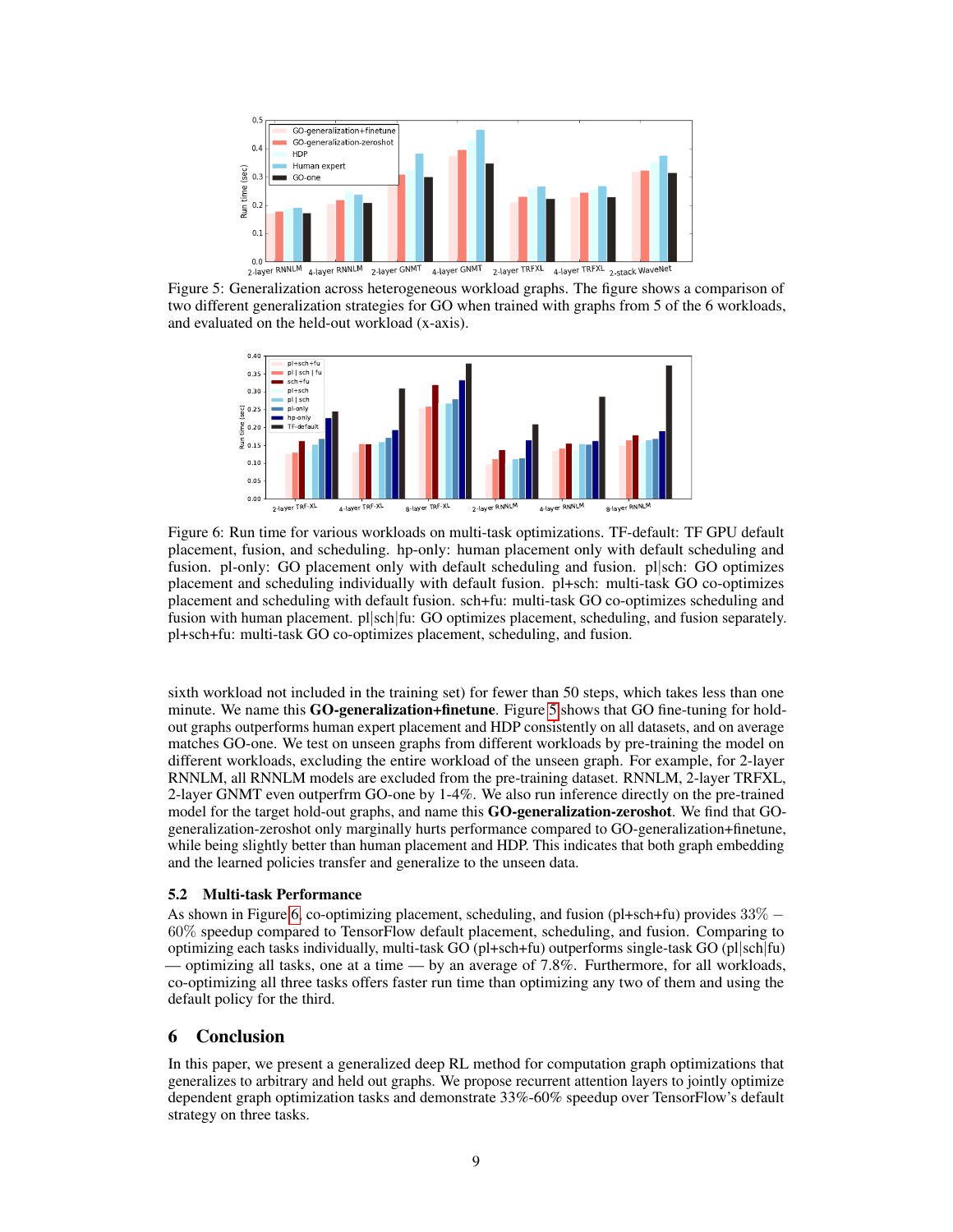

<span id="page-8-0"></span>Figure 5: Generalization across heterogeneous workload graphs. The figure shows a comparison of two different generalization strategies for GO when trained with graphs from 5 of the 6 workloads, and evaluated on the held-out workload (x-axis).



<span id="page-8-1"></span>Figure 6: Run time for various workloads on multi-task optimizations. TF-default: TF GPU default placement, fusion, and scheduling. hp-only: human placement only with default scheduling and fusion. pl-only: GO placement only with default scheduling and fusion. pl|sch: GO optimizes placement and scheduling individually with default fusion. pl+sch: multi-task GO co-optimizes placement and scheduling with default fusion. sch+fu: multi-task GO co-optimizes scheduling and fusion with human placement. pl|sch|fu: GO optimizes placement, scheduling, and fusion separately. pl+sch+fu: multi-task GO co-optimizes placement, scheduling, and fusion.

sixth workload not included in the training set) for fewer than 50 steps, which takes less than one minute. We name this **GO-generalization+finetune**. Figure [5](#page-8-0) shows that GO fine-tuning for holdout graphs outperforms human expert placement and HDP consistently on all datasets, and on average matches GO-one. We test on unseen graphs from different workloads by pre-training the model on different workloads, excluding the entire workload of the unseen graph. For example, for 2-layer RNNLM, all RNNLM models are excluded from the pre-training dataset. RNNLM, 2-layer TRFXL, 2-layer GNMT even outperfrm GO-one by 1-4%. We also run inference directly on the pre-trained model for the target hold-out graphs, and name this GO-generalization-zeroshot. We find that GOgeneralization-zeroshot only marginally hurts performance compared to GO-generalization+finetune, while being slightly better than human placement and HDP. This indicates that both graph embedding and the learned policies transfer and generalize to the unseen data.

#### 5.2 Multi-task Performance

As shown in Figure [6,](#page-8-1) co-optimizing placement, scheduling, and fusion (pl+sch+fu) provides 33% − 60% speedup compared to TensorFlow default placement, scheduling, and fusion. Comparing to optimizing each tasks individually, multi-task GO (pl+sch+fu) outperforms single-task GO (pl|sch|fu) — optimizing all tasks, one at a time — by an average of 7.8%. Furthermore, for all workloads, co-optimizing all three tasks offers faster run time than optimizing any two of them and using the default policy for the third.

## 6 Conclusion

In this paper, we present a generalized deep RL method for computation graph optimizations that generalizes to arbitrary and held out graphs. We propose recurrent attention layers to jointly optimize dependent graph optimization tasks and demonstrate 33%-60% speedup over TensorFlow's default strategy on three tasks.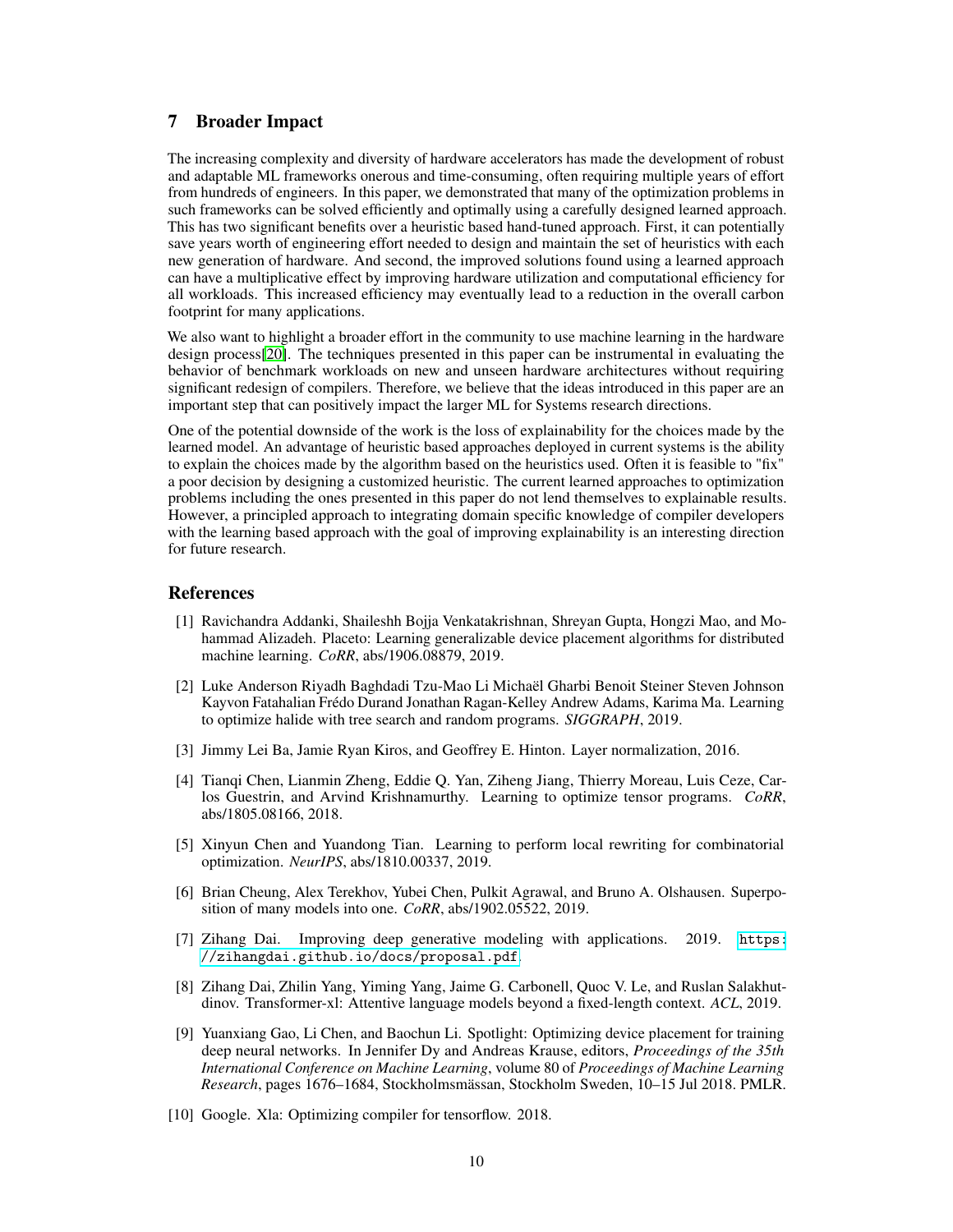## 7 Broader Impact

The increasing complexity and diversity of hardware accelerators has made the development of robust and adaptable ML frameworks onerous and time-consuming, often requiring multiple years of effort from hundreds of engineers. In this paper, we demonstrated that many of the optimization problems in such frameworks can be solved efficiently and optimally using a carefully designed learned approach. This has two significant benefits over a heuristic based hand-tuned approach. First, it can potentially save years worth of engineering effort needed to design and maintain the set of heuristics with each new generation of hardware. And second, the improved solutions found using a learned approach can have a multiplicative effect by improving hardware utilization and computational efficiency for all workloads. This increased efficiency may eventually lead to a reduction in the overall carbon footprint for many applications.

We also want to highlight a broader effort in the community to use machine learning in the hardware design process[\[20\]](#page-10-16). The techniques presented in this paper can be instrumental in evaluating the behavior of benchmark workloads on new and unseen hardware architectures without requiring significant redesign of compilers. Therefore, we believe that the ideas introduced in this paper are an important step that can positively impact the larger ML for Systems research directions.

One of the potential downside of the work is the loss of explainability for the choices made by the learned model. An advantage of heuristic based approaches deployed in current systems is the ability to explain the choices made by the algorithm based on the heuristics used. Often it is feasible to "fix" a poor decision by designing a customized heuristic. The current learned approaches to optimization problems including the ones presented in this paper do not lend themselves to explainable results. However, a principled approach to integrating domain specific knowledge of compiler developers with the learning based approach with the goal of improving explainability is an interesting direction for future research.

### **References**

- <span id="page-9-3"></span>[1] Ravichandra Addanki, Shaileshh Bojja Venkatakrishnan, Shreyan Gupta, Hongzi Mao, and Mohammad Alizadeh. Placeto: Learning generalizable device placement algorithms for distributed machine learning. *CoRR*, abs/1906.08879, 2019.
- <span id="page-9-5"></span>[2] Luke Anderson Riyadh Baghdadi Tzu-Mao Li Michaël Gharbi Benoit Steiner Steven Johnson Kayvon Fatahalian Frédo Durand Jonathan Ragan-Kelley Andrew Adams, Karima Ma. Learning to optimize halide with tree search and random programs. *SIGGRAPH*, 2019.
- <span id="page-9-9"></span>[3] Jimmy Lei Ba, Jamie Ryan Kiros, and Geoffrey E. Hinton. Layer normalization, 2016.
- <span id="page-9-1"></span>[4] Tianqi Chen, Lianmin Zheng, Eddie Q. Yan, Ziheng Jiang, Thierry Moreau, Luis Ceze, Carlos Guestrin, and Arvind Krishnamurthy. Learning to optimize tensor programs. *CoRR*, abs/1805.08166, 2018.
- <span id="page-9-4"></span>[5] Xinyun Chen and Yuandong Tian. Learning to perform local rewriting for combinatorial optimization. *NeurIPS*, abs/1810.00337, 2019.
- <span id="page-9-8"></span>[6] Brian Cheung, Alex Terekhov, Yubei Chen, Pulkit Agrawal, and Bruno A. Olshausen. Superposition of many models into one. *CoRR*, abs/1902.05522, 2019.
- <span id="page-9-7"></span>[7] Zihang Dai. Improving deep generative modeling with applications. 2019. [https:](https://zihangdai.github.io/docs/proposal.pdf) [//zihangdai.github.io/docs/proposal.pdf](https://zihangdai.github.io/docs/proposal.pdf).
- <span id="page-9-6"></span>[8] Zihang Dai, Zhilin Yang, Yiming Yang, Jaime G. Carbonell, Quoc V. Le, and Ruslan Salakhutdinov. Transformer-xl: Attentive language models beyond a fixed-length context. *ACL*, 2019.
- <span id="page-9-2"></span>[9] Yuanxiang Gao, Li Chen, and Baochun Li. Spotlight: Optimizing device placement for training deep neural networks. In Jennifer Dy and Andreas Krause, editors, *Proceedings of the 35th International Conference on Machine Learning*, volume 80 of *Proceedings of Machine Learning Research*, pages 1676–1684, Stockholmsmässan, Stockholm Sweden, 10–15 Jul 2018. PMLR.
- <span id="page-9-0"></span>[10] Google. Xla: Optimizing compiler for tensorflow. 2018.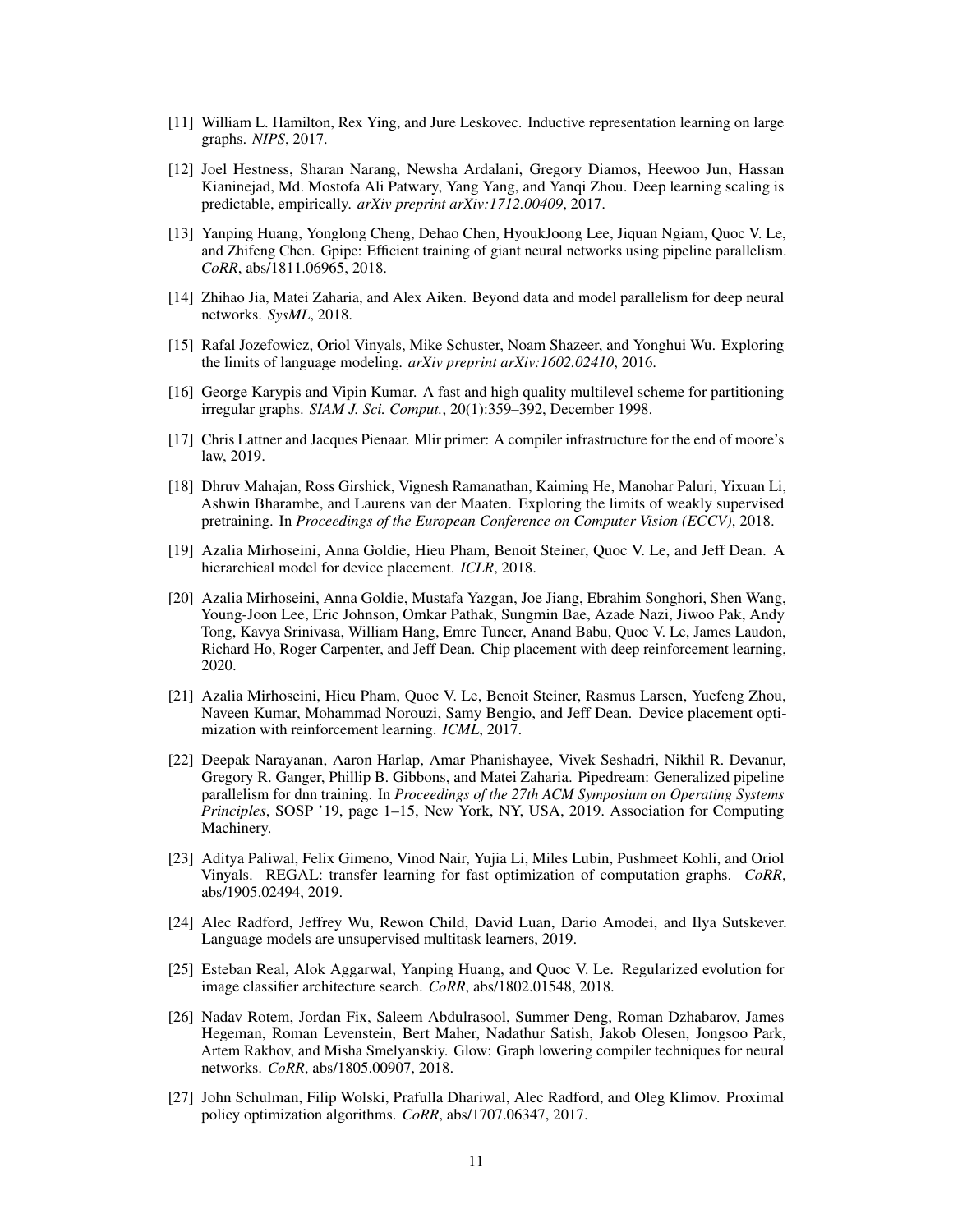- <span id="page-10-13"></span>[11] William L. Hamilton, Rex Ying, and Jure Leskovec. Inductive representation learning on large graphs. *NIPS*, 2017.
- <span id="page-10-0"></span>[12] Joel Hestness, Sharan Narang, Newsha Ardalani, Gregory Diamos, Heewoo Jun, Hassan Kianinejad, Md. Mostofa Ali Patwary, Yang Yang, and Yanqi Zhou. Deep learning scaling is predictable, empirically. *arXiv preprint arXiv:1712.00409*, 2017.
- <span id="page-10-9"></span>[13] Yanping Huang, Yonglong Cheng, Dehao Chen, HyoukJoong Lee, Jiquan Ngiam, Quoc V. Le, and Zhifeng Chen. Gpipe: Efficient training of giant neural networks using pipeline parallelism. *CoRR*, abs/1811.06965, 2018.
- <span id="page-10-8"></span>[14] Zhihao Jia, Matei Zaharia, and Alex Aiken. Beyond data and model parallelism for deep neural networks. *SysML*, 2018.
- <span id="page-10-1"></span>[15] Rafal Jozefowicz, Oriol Vinyals, Mike Schuster, Noam Shazeer, and Yonghui Wu. Exploring the limits of language modeling. *arXiv preprint arXiv:1602.02410*, 2016.
- <span id="page-10-15"></span>[16] George Karypis and Vipin Kumar. A fast and high quality multilevel scheme for partitioning irregular graphs. *SIAM J. Sci. Comput.*, 20(1):359–392, December 1998.
- <span id="page-10-5"></span>[17] Chris Lattner and Jacques Pienaar. Mlir primer: A compiler infrastructure for the end of moore's law, 2019.
- <span id="page-10-2"></span>[18] Dhruv Mahajan, Ross Girshick, Vignesh Ramanathan, Kaiming He, Manohar Paluri, Yixuan Li, Ashwin Bharambe, and Laurens van der Maaten. Exploring the limits of weakly supervised pretraining. In *Proceedings of the European Conference on Computer Vision (ECCV)*, 2018.
- <span id="page-10-7"></span>[19] Azalia Mirhoseini, Anna Goldie, Hieu Pham, Benoit Steiner, Quoc V. Le, and Jeff Dean. A hierarchical model for device placement. *ICLR*, 2018.
- <span id="page-10-16"></span>[20] Azalia Mirhoseini, Anna Goldie, Mustafa Yazgan, Joe Jiang, Ebrahim Songhori, Shen Wang, Young-Joon Lee, Eric Johnson, Omkar Pathak, Sungmin Bae, Azade Nazi, Jiwoo Pak, Andy Tong, Kavya Srinivasa, William Hang, Emre Tuncer, Anand Babu, Quoc V. Le, James Laudon, Richard Ho, Roger Carpenter, and Jeff Dean. Chip placement with deep reinforcement learning, 2020.
- <span id="page-10-6"></span>[21] Azalia Mirhoseini, Hieu Pham, Quoc V. Le, Benoit Steiner, Rasmus Larsen, Yuefeng Zhou, Naveen Kumar, Mohammad Norouzi, Samy Bengio, and Jeff Dean. Device placement optimization with reinforcement learning. *ICML*, 2017.
- <span id="page-10-10"></span>[22] Deepak Narayanan, Aaron Harlap, Amar Phanishayee, Vivek Seshadri, Nikhil R. Devanur, Gregory R. Ganger, Phillip B. Gibbons, and Matei Zaharia. Pipedream: Generalized pipeline parallelism for dnn training. In *Proceedings of the 27th ACM Symposium on Operating Systems Principles*, SOSP '19, page 1–15, New York, NY, USA, 2019. Association for Computing Machinery.
- <span id="page-10-11"></span>[23] Aditya Paliwal, Felix Gimeno, Vinod Nair, Yujia Li, Miles Lubin, Pushmeet Kohli, and Oriol Vinyals. REGAL: transfer learning for fast optimization of computation graphs. *CoRR*, abs/1905.02494, 2019.
- <span id="page-10-3"></span>[24] Alec Radford, Jeffrey Wu, Rewon Child, David Luan, Dario Amodei, and Ilya Sutskever. Language models are unsupervised multitask learners, 2019.
- <span id="page-10-14"></span>[25] Esteban Real, Alok Aggarwal, Yanping Huang, and Quoc V. Le. Regularized evolution for image classifier architecture search. *CoRR*, abs/1802.01548, 2018.
- <span id="page-10-4"></span>[26] Nadav Rotem, Jordan Fix, Saleem Abdulrasool, Summer Deng, Roman Dzhabarov, James Hegeman, Roman Levenstein, Bert Maher, Nadathur Satish, Jakob Olesen, Jongsoo Park, Artem Rakhov, and Misha Smelyanskiy. Glow: Graph lowering compiler techniques for neural networks. *CoRR*, abs/1805.00907, 2018.
- <span id="page-10-12"></span>[27] John Schulman, Filip Wolski, Prafulla Dhariwal, Alec Radford, and Oleg Klimov. Proximal policy optimization algorithms. *CoRR*, abs/1707.06347, 2017.